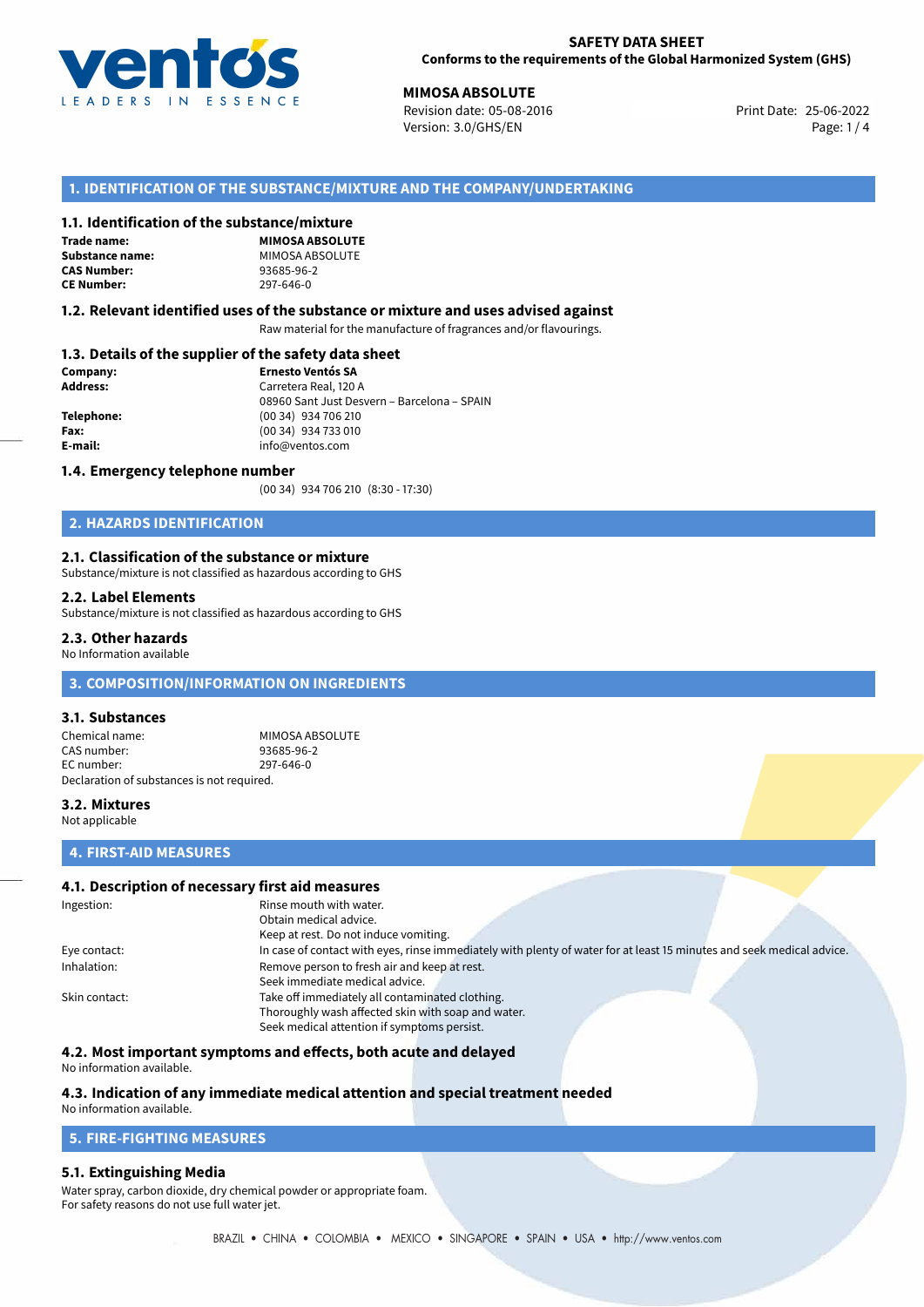

25-06-2022 **MIMOSA ABSOLUTE** Revision date: 05-08-2016 Print Date: Version: 3.0/GHS/EN Page: 1 / 4

## **1. IDENTIFICATION OF THE SUBSTANCE/MIXTURE AND THE COMPANY/UNDERTAKING**

#### **1.1. Identification of the substance/mixture**

**Trade name: CAS Number: CE Number:** 297-646-0

**MIMOSA ABSOLUTE Substance name:** MIMOSA ABSOLUTE<br> **CAS Number:** 93685-96-2

#### **1.2. Relevant identified uses of the substance or mixture and uses advised against**

Raw material for the manufacture of fragrances and/or flavourings.

# **1.3. Details of the supplier of the safety data sheet**

| Company:        | <b>Ernesto Ventós SA</b>                    |  |
|-----------------|---------------------------------------------|--|
| <b>Address:</b> | Carretera Real, 120 A                       |  |
|                 | 08960 Sant Just Desvern - Barcelona - SPAIN |  |
| Telephone:      | (00 34) 934 706 210                         |  |
| Fax:            | (00 34) 934 733 010                         |  |
| E-mail:         | info@ventos.com                             |  |
|                 |                                             |  |

#### **1.4. Emergency telephone number**

(00 34) 934 706 210 (8:30 - 17:30)

# **2. HAZARDS IDENTIFICATION**

#### **2.1. Classification of the substance or mixture**

Substance/mixture is not classified as hazardous according to GHS

#### **2.2. Label Elements**

Substance/mixture is not classified as hazardous according to GHS

#### **2.3. Other hazards**

No Information available

# **3. COMPOSITION/INFORMATION ON INGREDIENTS**

#### **3.1. Substances**

Chemical name: MIMOSA ABSOLUTE<br>CAS number: 93685-96-2 CAS number: EC number: 297-646-0 Declaration of substances is not required.

#### **3.2. Mixtures**

Not applicable

# **4. FIRST-AID MEASURES**

### **4.1. Description of necessary first aid measures**

| Ingestion:    | Rinse mouth with water.                                                                                               |  |  |
|---------------|-----------------------------------------------------------------------------------------------------------------------|--|--|
|               | Obtain medical advice.                                                                                                |  |  |
|               | Keep at rest. Do not induce vomiting.                                                                                 |  |  |
| Eye contact:  | In case of contact with eyes, rinse immediately with plenty of water for at least 15 minutes and seek medical advice. |  |  |
| Inhalation:   | Remove person to fresh air and keep at rest.                                                                          |  |  |
|               | Seek immediate medical advice.                                                                                        |  |  |
| Skin contact: | Take off immediately all contaminated clothing.                                                                       |  |  |
|               | Thoroughly wash affected skin with soap and water.                                                                    |  |  |
|               | Seek medical attention if symptoms persist.                                                                           |  |  |

#### **4.2. Most important symptoms and effects, both acute and delayed**

No information available.

# **4.3. Indication of any immediate medical attention and special treatment needed**

# No information available.

# **5. FIRE-FIGHTING MEASURES**

#### **5.1. Extinguishing Media**

Water spray, carbon dioxide, dry chemical powder or appropriate foam. For safety reasons do not use full water jet.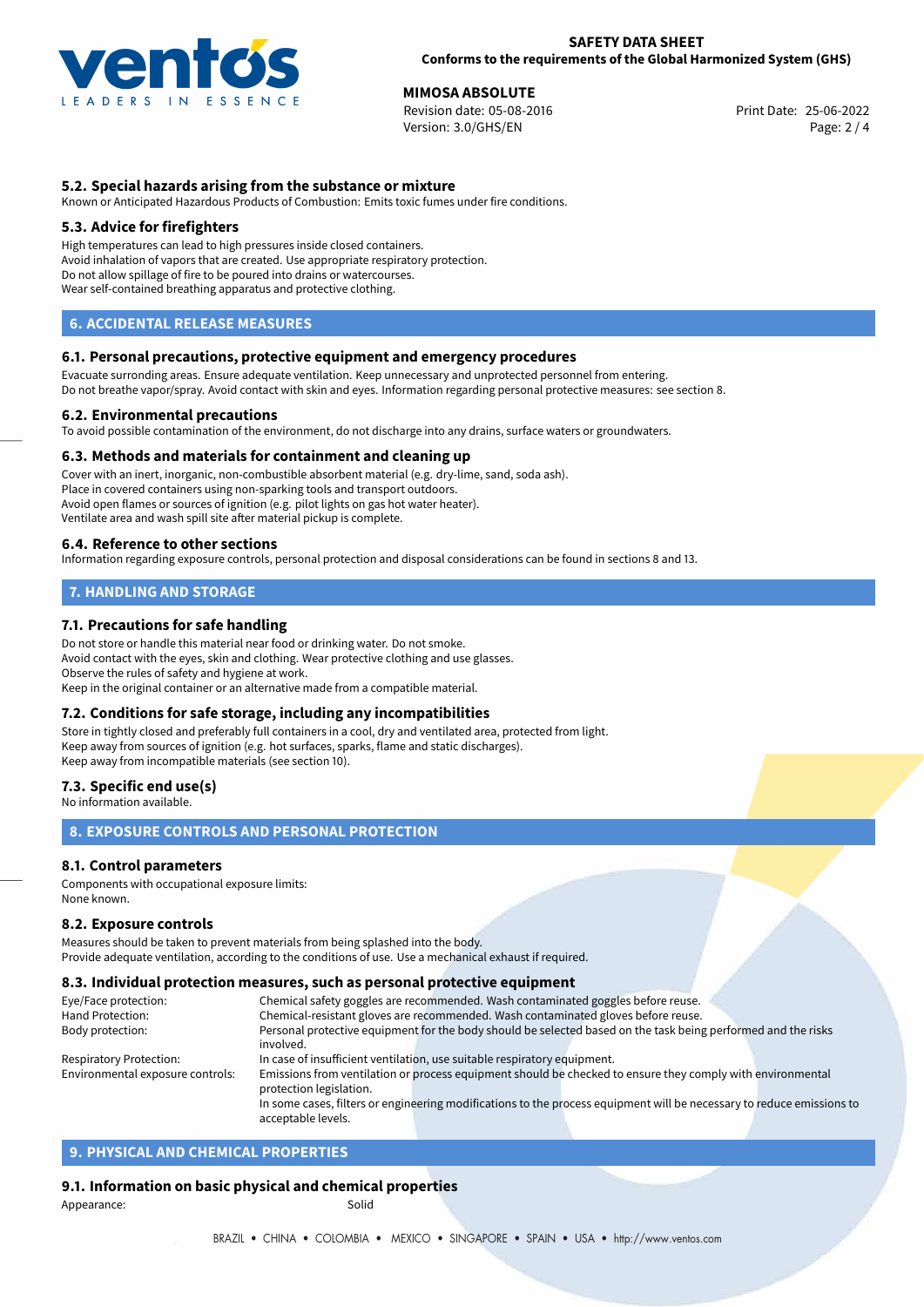

# **MIMOSA ABSOLUTE**<br>
Revision date: 05-08-2016<br> **Print Date: 25-06-2022**

Revision date: 05-08-2016 Version: 3.0/GHS/EN Page: 2 / 4

### **5.2. Special hazards arising from the substance or mixture**

Known or Anticipated Hazardous Products of Combustion: Emits toxic fumes under fire conditions.

#### **5.3. Advice for firefighters**

High temperatures can lead to high pressures inside closed containers. Avoid inhalation of vapors that are created. Use appropriate respiratory protection. Do not allow spillage of fire to be poured into drains or watercourses. Wear self-contained breathing apparatus and protective clothing.

# **6. ACCIDENTAL RELEASE MEASURES**

#### **6.1. Personal precautions, protective equipment and emergency procedures**

Evacuate surronding areas. Ensure adequate ventilation. Keep unnecessary and unprotected personnel from entering. Do not breathe vapor/spray. Avoid contact with skin and eyes. Information regarding personal protective measures: see section 8.

#### **6.2. Environmental precautions**

To avoid possible contamination of the environment, do not discharge into any drains, surface waters or groundwaters.

#### **6.3. Methods and materials for containment and cleaning up**

Cover with an inert, inorganic, non-combustible absorbent material (e.g. dry-lime, sand, soda ash). Place in covered containers using non-sparking tools and transport outdoors. Avoid open flames or sources of ignition (e.g. pilot lights on gas hot water heater). Ventilate area and wash spill site after material pickup is complete.

#### **6.4. Reference to other sections**

Information regarding exposure controls, personal protection and disposal considerations can be found in sections 8 and 13.

# **7. HANDLING AND STORAGE**

#### **7.1. Precautions for safe handling**

Do not store or handle this material near food or drinking water. Do not smoke. Avoid contact with the eyes, skin and clothing. Wear protective clothing and use glasses. Observe the rules of safety and hygiene at work. Keep in the original container or an alternative made from a compatible material.

#### **7.2. Conditions for safe storage, including any incompatibilities**

Store in tightly closed and preferably full containers in a cool, dry and ventilated area, protected from light. Keep away from sources of ignition (e.g. hot surfaces, sparks, flame and static discharges). Keep away from incompatible materials (see section 10).

#### **7.3. Specific end use(s)**

No information available.

### **8. EXPOSURE CONTROLS AND PERSONAL PROTECTION**

#### **8.1. Control parameters**

Components with occupational exposure limits: None known.

#### **8.2. Exposure controls**

Measures should be taken to prevent materials from being splashed into the body. Provide adequate ventilation, according to the conditions of use. Use a mechanical exhaust if required.

#### **8.3. Individual protection measures, such as personal protective equipment**

acceptable levels.

| Eye/Face protection:             | Chemical safety goggles are recommended. Wash contaminated goggles before reuse.                                      |  |  |  |  |
|----------------------------------|-----------------------------------------------------------------------------------------------------------------------|--|--|--|--|
| Hand Protection:                 | Chemical-resistant gloves are recommended. Wash contaminated gloves before reuse.                                     |  |  |  |  |
| Body protection:                 | Personal protective equipment for the body should be selected based on the task being performed and the risks         |  |  |  |  |
|                                  | involved.                                                                                                             |  |  |  |  |
| <b>Respiratory Protection:</b>   | In case of insufficient ventilation, use suitable respiratory equipment.                                              |  |  |  |  |
| Environmental exposure controls: | Emissions from ventilation or process equipment should be checked to ensure they comply with environmental            |  |  |  |  |
|                                  | protection legislation.                                                                                               |  |  |  |  |
|                                  | In some cases, filters or engineering modifications to the process equipment will be necessary to reduce emissions to |  |  |  |  |
|                                  |                                                                                                                       |  |  |  |  |

# **9. PHYSICAL AND CHEMICAL PROPERTIES**

# **9.1. Information on basic physical and chemical properties**

Appearance: Solid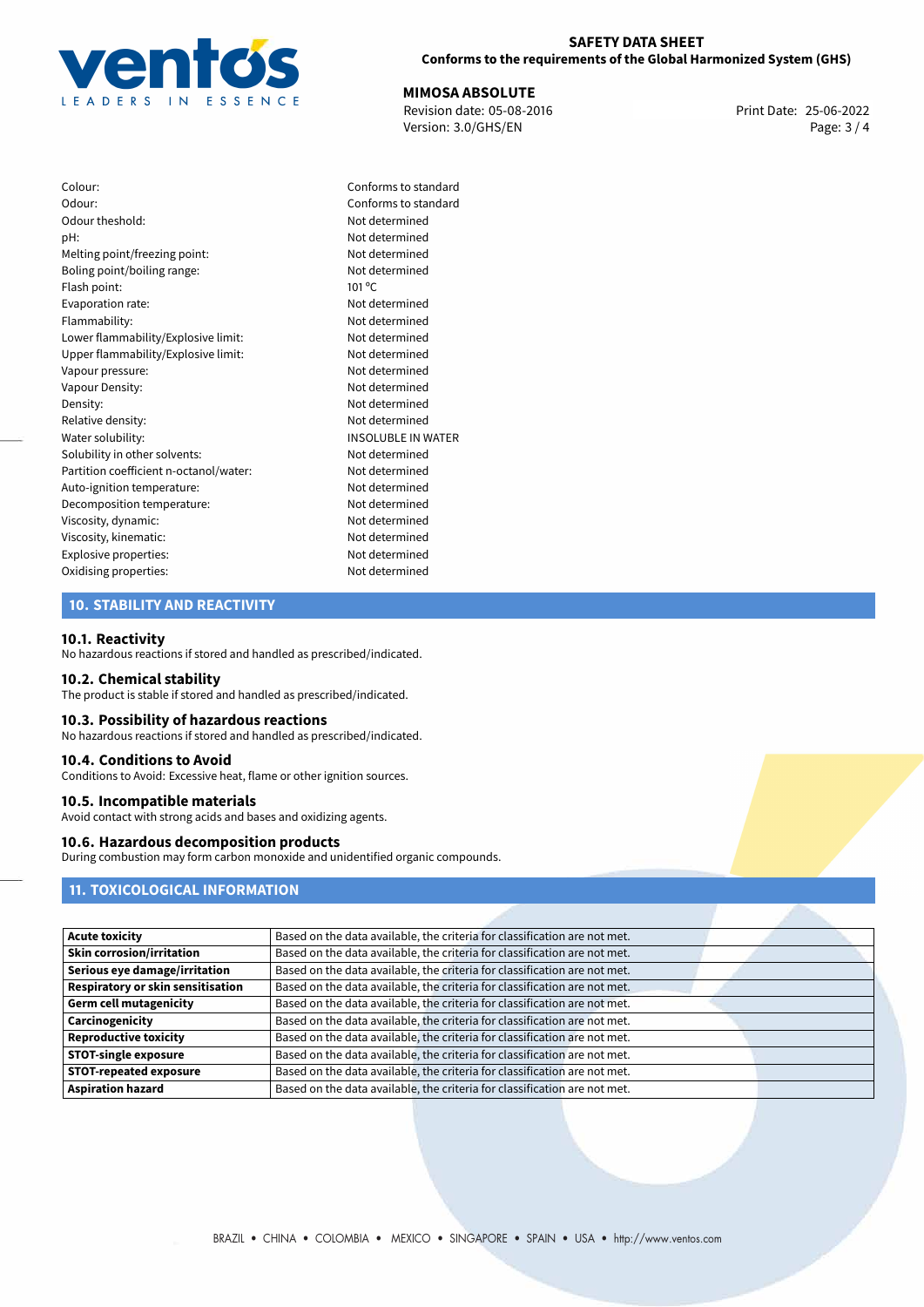

25-06-2022 **MIMOSA ABSOLUTE** Revision date: 05-08-2016 Print Date: Version: 3.0/GHS/EN Page: 3 / 4

Colour: Conforms to standard Odour: Conforms to standard Odour theshold: Not determined pH: Not determined Melting point/freezing point: Not determined Boling point/boiling range: Not determined Flash point: 101 °C Evaporation rate: Not determined Flammability: Not determined Lower flammability/Explosive limit: Not determined Upper flammability/Explosive limit: Not determined Vapour pressure: Not determined Vapour Density: Vapour Density: Density: Not determined Relative density: Not determined Water solubility: **INSOLUBLE IN WATER** Solubility in other solvents: Not determined Partition coefficient n-octanol/water: Not determined Auto-ignition temperature: Not determined Decomposition temperature: Not determined Viscosity, dynamic: Not determined Viscosity, kinematic: Not determined Explosive properties: Not determined Oxidising properties: Not determined

### **10. STABILITY AND REACTIVITY**

#### **10.1. Reactivity**

No hazardous reactions if stored and handled as prescribed/indicated.

#### **10.2. Chemical stability**

The product is stable if stored and handled as prescribed/indicated.

#### **10.3. Possibility of hazardous reactions**

No hazardous reactions if stored and handled as prescribed/indicated.

#### **10.4. Conditions to Avoid**

Conditions to Avoid: Excessive heat, flame or other ignition sources.

#### **10.5. Incompatible materials**

Avoid contact with strong acids and bases and oxidizing agents.

#### **10.6. Hazardous decomposition products**

During combustion may form carbon monoxide and unidentified organic compounds.

# **11. TOXICOLOGICAL INFORMATION**

| <b>Acute toxicity</b>             | Based on the data available, the criteria for classification are not met. |
|-----------------------------------|---------------------------------------------------------------------------|
| <b>Skin corrosion/irritation</b>  | Based on the data available, the criteria for classification are not met. |
| Serious eye damage/irritation     | Based on the data available, the criteria for classification are not met. |
| Respiratory or skin sensitisation | Based on the data available, the criteria for classification are not met. |
| <b>Germ cell mutagenicity</b>     | Based on the data available, the criteria for classification are not met. |
| Carcinogenicity                   | Based on the data available, the criteria for classification are not met. |
| <b>Reproductive toxicity</b>      | Based on the data available, the criteria for classification are not met. |
| <b>STOT-single exposure</b>       | Based on the data available, the criteria for classification are not met. |
| <b>STOT-repeated exposure</b>     | Based on the data available, the criteria for classification are not met. |
| <b>Aspiration hazard</b>          | Based on the data available, the criteria for classification are not met. |
|                                   |                                                                           |